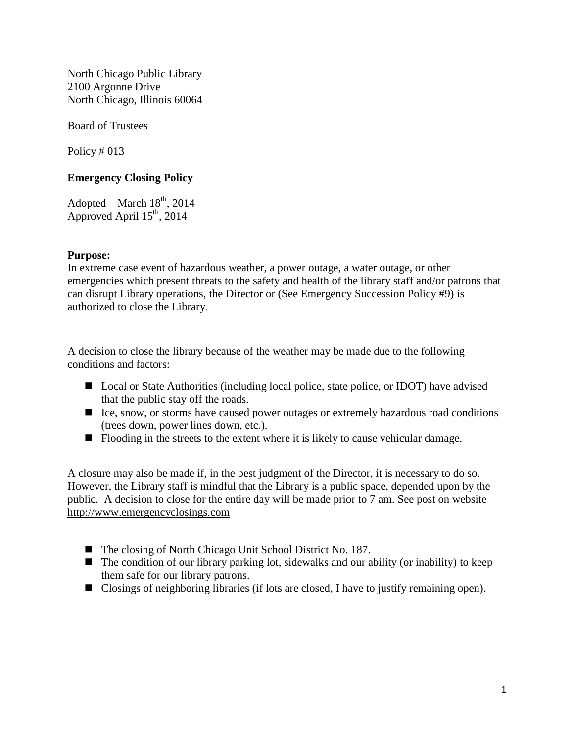North Chicago Public Library 2100 Argonne Drive North Chicago, Illinois 60064

Board of Trustees

Policy  $\#013$ 

## **Emergency Closing Policy**

Adopted March  $18<sup>th</sup>$ , 2014 Approved April  $15^{th}$ , 2014

#### **Purpose:**

In extreme case event of hazardous weather, a power outage, a water outage, or other emergencies which present threats to the safety and health of the library staff and/or patrons that can disrupt Library operations, the Director or (See Emergency Succession Policy #9) is authorized to close the Library.

A decision to close the library because of the weather may be made due to the following conditions and factors:

- Local or State Authorities (including local police, state police, or IDOT) have advised that the public stay off the roads.
- Ice, snow, or storms have caused power outages or extremely hazardous road conditions (trees down, power lines down, etc.).
- Flooding in the streets to the extent where it is likely to cause vehicular damage.

A closure may also be made if, in the best judgment of the Director, it is necessary to do so. However, the Library staff is mindful that the Library is a public space, depended upon by the public. A decision to close for the entire day will be made prior to 7 am. See post on website [http://www.emergencyclosings.com](http://www.emergencyclosings.com/)

- The closing of North Chicago Unit School District No. 187.
- $\blacksquare$  The condition of our library parking lot, sidewalks and our ability (or inability) to keep them safe for our library patrons.
- Closings of neighboring libraries (if lots are closed, I have to justify remaining open).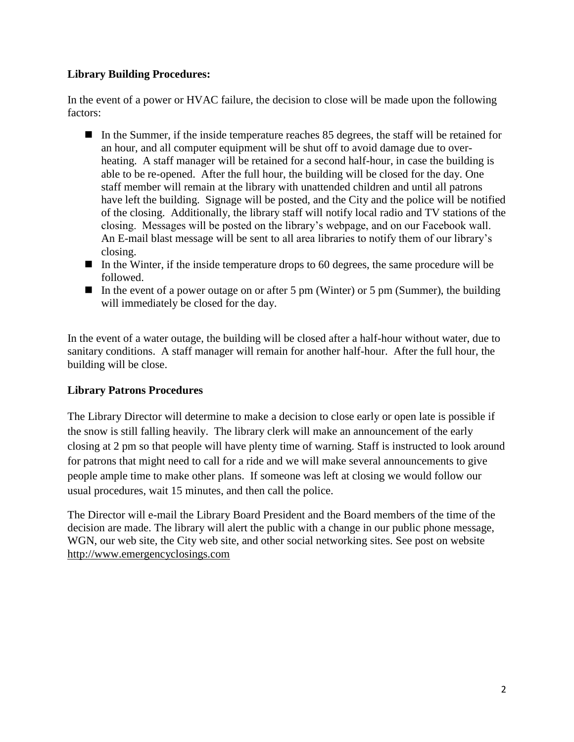## **Library Building Procedures:**

In the event of a power or HVAC failure, the decision to close will be made upon the following factors:

- In the Summer, if the inside temperature reaches 85 degrees, the staff will be retained for an hour, and all computer equipment will be shut off to avoid damage due to overheating. A staff manager will be retained for a second half-hour, in case the building is able to be re-opened. After the full hour, the building will be closed for the day. One staff member will remain at the library with unattended children and until all patrons have left the building. Signage will be posted, and the City and the police will be notified of the closing. Additionally, the library staff will notify local radio and TV stations of the closing. Messages will be posted on the library's webpage, and on our Facebook wall. An E-mail blast message will be sent to all area libraries to notify them of our library's closing.
- $\blacksquare$  In the Winter, if the inside temperature drops to 60 degrees, the same procedure will be followed.
- In the event of a power outage on or after 5 pm (Winter) or 5 pm (Summer), the building will immediately be closed for the day.

In the event of a water outage, the building will be closed after a half-hour without water, due to sanitary conditions. A staff manager will remain for another half-hour. After the full hour, the building will be close.

# **Library Patrons Procedures**

The Library Director will determine to make a decision to close early or open late is possible if the snow is still falling heavily. The library clerk will make an announcement of the early closing at 2 pm so that people will have plenty time of warning. Staff is instructed to look around for patrons that might need to call for a ride and we will make several announcements to give people ample time to make other plans. If someone was left at closing we would follow our usual procedures, wait 15 minutes, and then call the police.

The Director will e-mail the Library Board President and the Board members of the time of the decision are made. The library will alert the public with a change in our public phone message, WGN, our web site, the City web site, and other social networking sites. See post on website [http://www.emergencyclosings.com](http://www.emergencyclosings.com/)